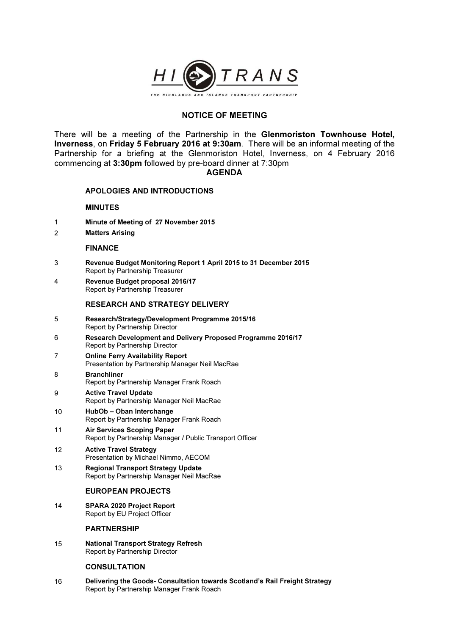

# NOTICE OF MEETING

There will be a meeting of the Partnership in the Glenmoriston Townhouse Hotel, Inverness, on Friday 5 February 2016 at 9:30am. There will be an informal meeting of the Partnership for a briefing at the Glenmoriston Hotel, Inverness, on 4 February 2016 commencing at 3:30pm followed by pre-board dinner at 7:30pm

### AGENDA

## APOLOGIES AND INTRODUCTIONS

### MINUTES

- 1 Minute of Meeting of 27 November 2015
- 2 Matters Arising

### FINANCE

- 3 Revenue Budget Monitoring Report 1 April 2015 to 31 December 2015 Report by Partnership Treasurer
- 4 Revenue Budget proposal 2016/17 Report by Partnership Treasurer

### RESEARCH AND STRATEGY DELIVERY

- 5 Research/Strategy/Development Programme 2015/16 Report by Partnership Director
- 6 Research Development and Delivery Proposed Programme 2016/17 Report by Partnership Director
- 7 Online Ferry Availability Report Presentation by Partnership Manager Neil MacRae
- 8 Branchliner Report by Partnership Manager Frank Roach
- 9 Active Travel Update Report by Partnership Manager Neil MacRae
- 10 HubOb Oban Interchange Report by Partnership Manager Frank Roach
- 11 Air Services Scoping Paper Report by Partnership Manager / Public Transport Officer
- 12 Active Travel Strategy Presentation by Michael Nimmo, AECOM
- 13 Regional Transport Strategy Update Report by Partnership Manager Neil MacRae

## EUROPEAN PROJECTS

14 SPARA 2020 Project Report Report by EU Project Officer

#### PARTNERSHIP

15 National Transport Strategy Refresh Report by Partnership Director

#### **CONSULTATION**

16 Delivering the Goods- Consultation towards Scotland's Rail Freight Strategy Report by Partnership Manager Frank Roach